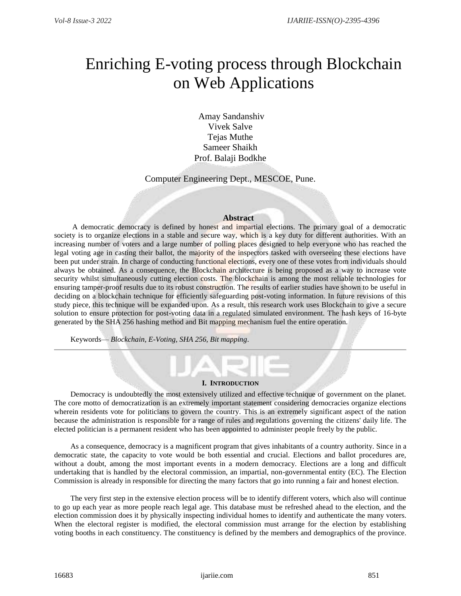# Enriching E-voting process through Blockchain on Web Applications

Amay Sandanshiv Vivek Salve Tejas Muthe Sameer Shaikh Prof. Balaji Bodkhe

Computer Engineering Dept., MESCOE, Pune.

## **Abstract**

A democratic democracy is defined by honest and impartial elections. The primary goal of a democratic society is to organize elections in a stable and secure way, which is a key duty for different authorities. With an increasing number of voters and a large number of polling places designed to help everyone who has reached the legal voting age in casting their ballot, the majority of the inspectors tasked with overseeing these elections have been put under strain. In charge of conducting functional elections, every one of these votes from individuals should always be obtained. As a consequence, the Blockchain architecture is being proposed as a way to increase vote security whilst simultaneously cutting election costs. The blockchain is among the most reliable technologies for ensuring tamper-proof results due to its robust construction. The results of earlier studies have shown to be useful in deciding on a blockchain technique for efficiently safeguarding post-voting information. In future revisions of this study piece, this technique will be expanded upon. As a result, this research work uses Blockchain to give a secure solution to ensure protection for post-voting data in a regulated simulated environment. The hash keys of 16-byte generated by the SHA 256 hashing method and Bit mapping mechanism fuel the entire operation.

Keywords— *Blockchain, E-Voting, SHA 256, Bit mapping*.

#### **I. INTRODUCTION**

Democracy is undoubtedly the most extensively utilized and effective technique of government on the planet. The core motto of democratization is an extremely important statement considering democracies organize elections wherein residents vote for politicians to govern the country. This is an extremely significant aspect of the nation because the administration is responsible for a range of rules and regulations governing the citizens' daily life. The elected politician is a permanent resident who has been appointed to administer people freely by the public.

As a consequence, democracy is a magnificent program that gives inhabitants of a country authority. Since in a democratic state, the capacity to vote would be both essential and crucial. Elections and ballot procedures are, without a doubt, among the most important events in a modern democracy. Elections are a long and difficult undertaking that is handled by the electoral commission, an impartial, non-governmental entity (EC). The Election Commission is already in responsible for directing the many factors that go into running a fair and honest election.

The very first step in the extensive election process will be to identify different voters, which also will continue to go up each year as more people reach legal age. This database must be refreshed ahead to the election, and the election commission does it by physically inspecting individual homes to identify and authenticate the many voters. When the electoral register is modified, the electoral commission must arrange for the election by establishing voting booths in each constituency. The constituency is defined by the members and demographics of the province.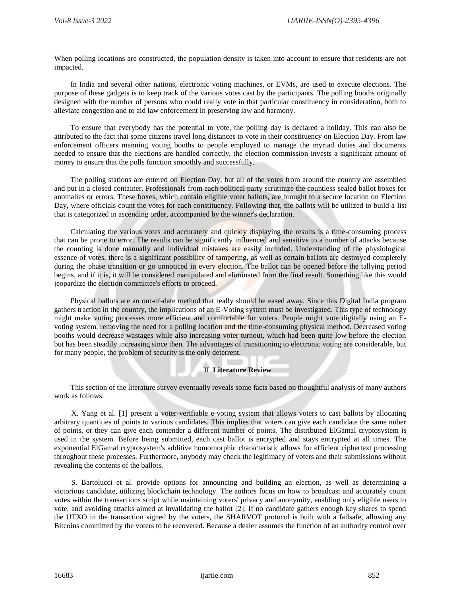When polling locations are constructed, the population density is taken into account to ensure that residents are not impacted.

In India and several other nations, electronic voting machines, or EVMs, are used to execute elections. The purpose of these gadgets is to keep track of the various votes cast by the participants. The polling booths originally designed with the number of persons who could really vote in that particular constituency in consideration, both to alleviate congestion and to aid law enforcement in preserving law and harmony.

To ensure that everybody has the potential to vote, the polling day is declared a holiday. This can also be attributed to the fact that some citizens travel long distances to vote in their constituency on Election Day. From law enforcement officers manning voting booths to people employed to manage the myriad duties and documents needed to ensure that the elections are handled correctly, the election commission invests a significant amount of money to ensure that the polls function smoothly and successfully.

The polling stations are entered on Election Day, but all of the votes from around the country are assembled and put in a closed container. Professionals from each political party scrutinize the countless sealed ballot boxes for anomalies or errors. These boxes, which contain eligible voter ballots, are brought to a secure location on Election Day, where officials count the votes for each constituency. Following that, the ballots will be utilized to build a list that is categorized in ascending order, accompanied by the winner's declaration.

Calculating the various votes and accurately and quickly displaying the results is a time-consuming process that can be prone to error. The results can be significantly influenced and sensitive to a number of attacks because the counting is done manually and individual mistakes are easily included. Understanding of the physiological essence of votes, there is a significant possibility of tampering, as well as certain ballots are destroyed completely during the phase transition or go unnoticed in every election. The ballot can be opened before the tallying period begins, and if it is, it will be considered manipulated and eliminated from the final result. Something like this would jeopardize the election committee's efforts to proceed.

Physical ballots are an out-of-date method that really should be eased away. Since this Digital India program gathers traction in the country, the implications of an E-Voting system must be investigated. This type of technology might make voting processes more efficient and comfortable for voters. People might vote digitally using an Evoting system, removing the need for a polling location and the time-consuming physical method. Decreased voting booths would decrease wastages while also increasing voter turnout, which had been quite low before the election but has been steadily increasing since then. The advantages of transitioning to electronic voting are considerable, but for many people, the problem of security is the only deterrent.

# II **Literature Review**

This section of the literature survey eventually reveals some facts based on thoughtful analysis of many authors work as follows.

X. Yang et al. [1] present a voter-verifiable e-voting system that allows voters to cast ballots by allocating arbitrary quantities of points to various candidates. This implies that voters can give each candidate the same nuber of points, or they can give each contender a different number of points. The distributed ElGamal cryptosystem is used in the system. Before being submitted, each cast ballot is encrypted and stays encrypted at all times. The exponential ElGamal cryptosystem's additive homomorphic characteristic allows for efficient ciphertext processing throughout these processes. Furthermore, anybody may check the legitimacy of voters and their submissions without revealing the contents of the ballots.

S. Bartolucci et al. provide options for announcing and building an election, as well as determining a victorious candidate, utilizing blockchain technology. The authors focus on how to broadcast and accurately count votes within the transactions script while maintaining voters' privacy and anonymity, enabling only eligible users to vote, and avoiding attacks aimed at invalidating the ballot [2]. If no candidate gathers enough key shares to spend the UTXO in the transaction signed by the voters, the SHARVOT protocol is built with a failsafe, allowing any Bitcoins committed by the voters to be recovered. Because a dealer assumes the function of an authority control over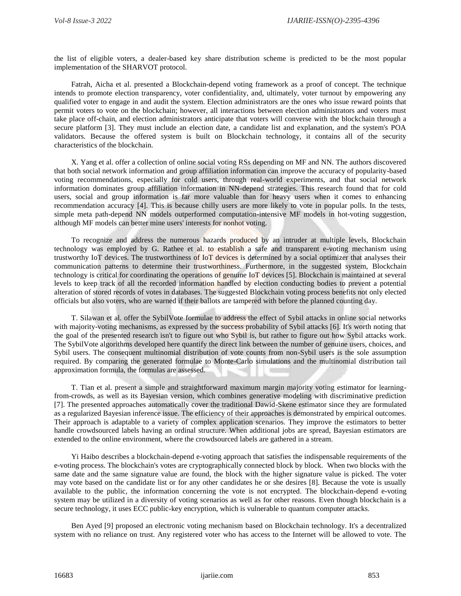the list of eligible voters, a dealer-based key share distribution scheme is predicted to be the most popular implementation of the SHARVOT protocol.

Fatrah, Aicha et al. presented a Blockchain-depend voting framework as a proof of concept. The technique intends to promote election transparency, voter confidentiality, and, ultimately, voter turnout by empowering any qualified voter to engage in and audit the system. Election administrators are the ones who issue reward points that permit voters to vote on the blockchain; however, all interactions between election administrators and voters must take place off-chain, and election administrators anticipate that voters will converse with the blockchain through a secure platform [3]. They must include an election date, a candidate list and explanation, and the system's POA validators. Because the offered system is built on Blockchain technology, it contains all of the security characteristics of the blockchain.

X. Yang et al. offer a collection of online social voting RSs depending on MF and NN. The authors discovered that both social network information and group affiliation information can improve the accuracy of popularity-based voting recommendations, especially for cold users, through real-world experiments, and that social network information dominates group affiliation information in NN-depend strategies. This research found that for cold users, social and group information is far more valuable than for heavy users when it comes to enhancing recommendation accuracy [4]. This is because chilly users are more likely to vote in popular polls. In the tests, simple meta path-depend NN models outperformed computation-intensive MF models in hot-voting suggestion, although MF models can better mine users' interests for nonhot voting.

To recognize and address the numerous hazards produced by an intruder at multiple levels, Blockchain technology was employed by G. Rathee et al. to establish a safe and transparent e-voting mechanism using trustworthy IoT devices. The trustworthiness of IoT devices is determined by a social optimizer that analyses their communication patterns to determine their trustworthiness. Furthermore, in the suggested system, Blockchain technology is critical for coordinating the operations of genuine IoT devices [5]. Blockchain is maintained at several levels to keep track of all the recorded information handled by election conducting bodies to prevent a potential alteration of stored records of votes in databases. The suggested Blockchain voting process benefits not only elected officials but also voters, who are warned if their ballots are tampered with before the planned counting day.

T. Silawan et al. offer the SybilVote formulae to address the effect of Sybil attacks in online social networks with majority-voting mechanisms, as expressed by the success probability of Sybil attacks [6]. It's worth noting that the goal of the presented research isn't to figure out who Sybil is, but rather to figure out how Sybil attacks work. The SybilVote algorithms developed here quantify the direct link between the number of genuine users, choices, and Sybil users. The consequent multinomial distribution of vote counts from non-Sybil users is the sole assumption required. By comparing the generated formulae to Monte-Carlo simulations and the multinomial distribution tail approximation formula, the formulas are assessed.

T. Tian et al. present a simple and straightforward maximum margin majority voting estimator for learningfrom-crowds, as well as its Bayesian version, which combines generative modeling with discriminative prediction [7]. The presented approaches automatically cover the traditional Dawid-Skene estimator since they are formulated as a regularized Bayesian inference issue. The efficiency of their approaches is demonstrated by empirical outcomes. Their approach is adaptable to a variety of complex application scenarios. They improve the estimators to better handle crowdsourced labels having an ordinal structure. When additional jobs are spread, Bayesian estimators are extended to the online environment, where the crowdsourced labels are gathered in a stream.

Yi Haibo describes a blockchain-depend e-voting approach that satisfies the indispensable requirements of the e-voting process. The blockchain's votes are cryptographically connected block by block. When two blocks with the same date and the same signature value are found, the block with the higher signature value is picked. The voter may vote based on the candidate list or for any other candidates he or she desires [8]. Because the vote is usually available to the public, the information concerning the vote is not encrypted. The blockchain-depend e-voting system may be utilized in a diversity of voting scenarios as well as for other reasons. Even though blockchain is a secure technology, it uses ECC public-key encryption, which is vulnerable to quantum computer attacks.

Ben Ayed [9] proposed an electronic voting mechanism based on Blockchain technology. It's a decentralized system with no reliance on trust. Any registered voter who has access to the Internet will be allowed to vote. The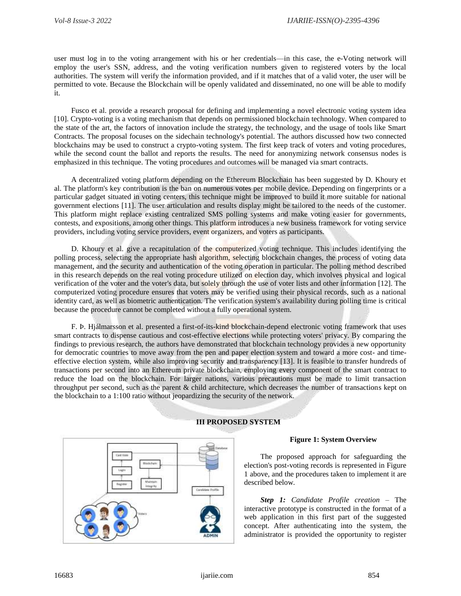user must log in to the voting arrangement with his or her credentials—in this case, the e-Voting network will employ the user's SSN, address, and the voting verification numbers given to registered voters by the local authorities. The system will verify the information provided, and if it matches that of a valid voter, the user will be permitted to vote. Because the Blockchain will be openly validated and disseminated, no one will be able to modify it.

Fusco et al. provide a research proposal for defining and implementing a novel electronic voting system idea [10]. Crypto-voting is a voting mechanism that depends on permissioned blockchain technology. When compared to the state of the art, the factors of innovation include the strategy, the technology, and the usage of tools like Smart Contracts. The proposal focuses on the sidechain technology's potential. The authors discussed how two connected blockchains may be used to construct a crypto-voting system. The first keep track of voters and voting procedures, while the second count the ballot and reports the results. The need for anonymizing network consensus nodes is emphasized in this technique. The voting procedures and outcomes will be managed via smart contracts.

A decentralized voting platform depending on the Ethereum Blockchain has been suggested by D. Khoury et al. The platform's key contribution is the ban on numerous votes per mobile device. Depending on fingerprints or a particular gadget situated in voting centers, this technique might be improved to build it more suitable for national government elections [11]. The user articulation and results display might be tailored to the needs of the customer. This platform might replace existing centralized SMS polling systems and make voting easier for governments, contests, and expositions, among other things. This platform introduces a new business framework for voting service providers, including voting service providers, event organizers, and voters as participants.

D. Khoury et al. give a recapitulation of the computerized voting technique. This includes identifying the polling process, selecting the appropriate hash algorithm, selecting blockchain changes, the process of voting data management, and the security and authentication of the voting operation in particular. The polling method described in this research depends on the real voting procedure utilized on election day, which involves physical and logical verification of the voter and the voter's data, but solely through the use of voter lists and other information [12]. The computerized voting procedure ensures that voters may be verified using their physical records, such as a national identity card, as well as biometric authentication. The verification system's availability during polling time is critical because the procedure cannot be completed without a fully operational system.

F. Þ. Hjálmarsson et al. presented a first-of-its-kind blockchain-depend electronic voting framework that uses smart contracts to dispense cautious and cost-effective elections while protecting voters' privacy. By comparing the findings to previous research, the authors have demonstrated that blockchain technology provides a new opportunity for democratic countries to move away from the pen and paper election system and toward a more cost- and timeeffective election system, while also improving security and transparency [13]. It is feasible to transfer hundreds of transactions per second into an Ethereum private blockchain, employing every component of the smart contract to reduce the load on the blockchain. For larger nations, various precautions must be made to limit transaction throughput per second, such as the parent & child architecture, which decreases the number of transactions kept on the blockchain to a 1:100 ratio without jeopardizing the security of the network.



# **III PROPOSED SYSTEM**

#### **Figure 1: System Overview**

The proposed approach for safeguarding the election's post-voting records is represented in Figure 1 above, and the procedures taken to implement it are described below.

*Step 1: Candidate Profile creation –* The interactive prototype is constructed in the format of a web application in this first part of the suggested concept. After authenticating into the system, the administrator is provided the opportunity to register

16683 ijariie.com 854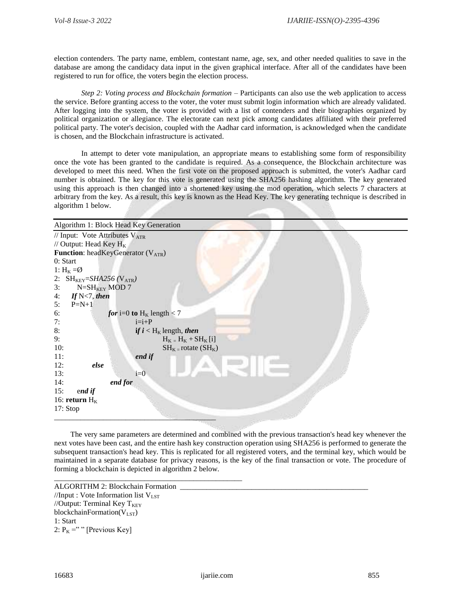election contenders. The party name, emblem, contestant name, age, sex, and other needed qualities to save in the database are among the candidacy data input in the given graphical interface. After all of the candidates have been registered to run for office, the voters begin the election process.

*Step 2: Voting process and Blockchain formation –* Participants can also use the web application to access the service. Before granting access to the voter, the voter must submit login information which are already validated. After logging into the system, the voter is provided with a list of contenders and their biographies organized by political organization or allegiance. The electorate can next pick among candidates affiliated with their preferred political party. The voter's decision, coupled with the Aadhar card information, is acknowledged when the candidate is chosen, and the Blockchain infrastructure is activated.

In attempt to deter vote manipulation, an appropriate means to establishing some form of responsibility once the vote has been granted to the candidate is required. As a consequence, the Blockchain architecture was developed to meet this need. When the first vote on the proposed approach is submitted, the voter's Aadhar card number is obtained. The key for this vote is generated using the SHA256 hashing algorithm. The key generated using this approach is then changed into a shortened key using the mod operation, which selects 7 characters at arbitrary from the key. As a result, this key is known as the Head Key. The key generating technique is described in algorithm 1 below.

| Algorithm 1: Block Head Key Generation        |                                    |  |
|-----------------------------------------------|------------------------------------|--|
| // Input: Vote Attributes V <sub>ATR</sub>    |                                    |  |
| // Output: Head Key $H_K$                     |                                    |  |
| <b>Function:</b> headKeyGenerator $(V_{ATR})$ |                                    |  |
| 0: Start                                      |                                    |  |
| 1: $H_K = \emptyset$                          |                                    |  |
| 2: $SH_{KEY}=SHA256$ (V <sub>ATR</sub> )      |                                    |  |
| 3:<br>$N = SH_{KEY}$ MOD 7                    |                                    |  |
| If $N<7$ , then<br>4:                         |                                    |  |
| $P=N+1$<br>5:                                 |                                    |  |
| 6:                                            | <i>for</i> i=0 to $H_K$ length < 7 |  |
| 7:                                            | $i=i+P$                            |  |
| 8:                                            | if $i < H_K$ length, then          |  |
| 9:                                            | $H_K = H_K + SH_K[i]$              |  |
| 10:                                           | $SH_{K}$ = rotate $(SH_{K})$       |  |
| 11:                                           | end if                             |  |
| 12:<br>else                                   |                                    |  |
| 13:                                           | $i=0$                              |  |
| end for<br>14:                                |                                    |  |
| 15:<br>end if                                 |                                    |  |
| 16: return $H_K$                              |                                    |  |
| 17: Stop                                      |                                    |  |
|                                               |                                    |  |

The very same parameters are determined and combined with the previous transaction's head key whenever the next votes have been cast, and the entire hash key construction operation using SHA256 is performed to generate the subsequent transaction's head key. This is replicated for all registered voters, and the terminal key, which would be maintained in a separate database for privacy reasons, is the key of the final transaction or vote. The procedure of forming a blockchain is depicted in algorithm 2 below.

```
ALGORITHM 2: Blockchain Formation
//Input : Vote Information list V_{LST}//Output: Terminal Key T_{KEY}blockchainFormation(V_{LST})
1: Start
2: P_K = " " [Previous Key]
```
\_\_\_\_\_\_\_\_\_\_\_\_\_\_\_\_\_\_\_\_\_\_\_\_\_\_\_\_\_\_\_\_\_\_\_\_\_\_\_\_\_\_\_\_\_\_\_\_\_\_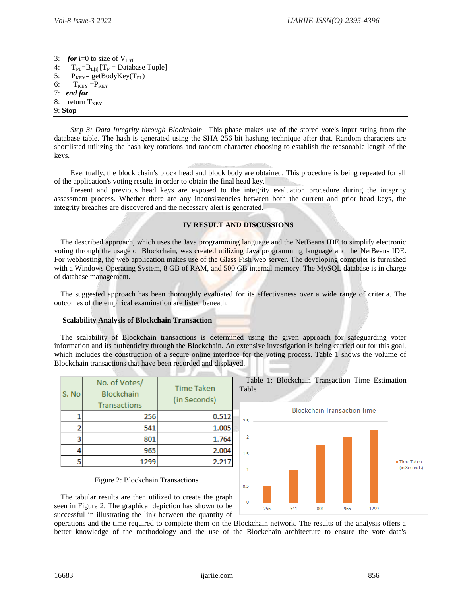3: *for* i=0 to size of  $V_{\text{LST}}$ 4:  $T_{PI} = B_{I}$  [i]  $[T_P = \text{Database Tuple}]$ 5:  $P_{KEY} = getBodyKey(T_{PL})$ 6:  $T_{KEY} = P_{KEY}$ 7: *end for* 8: return  $T_{KEY}$ 9: **Stop**

*Step 3: Data Integrity through Blockchain–* This phase makes use of the stored vote's input string from the database table. The hash is generated using the SHA 256 bit hashing technique after that. Random characters are shortlisted utilizing the hash key rotations and random character choosing to establish the reasonable length of the keys.

Eventually, the block chain's block head and block body are obtained. This procedure is being repeated for all of the application's voting results in order to obtain the final head key.

Present and previous head keys are exposed to the integrity evaluation procedure during the integrity assessment process. Whether there are any inconsistencies between both the current and prior head keys, the integrity breaches are discovered and the necessary alert is generated.

## **IV RESULT AND DISCUSSIONS**

The described approach, which uses the Java programming language and the NetBeans IDE to simplify electronic voting through the usage of Blockchain, was created utilizing Java programming language and the NetBeans IDE. For webhosting, the web application makes use of the Glass Fish web server. The developing computer is furnished with a Windows Operating System, 8 GB of RAM, and 500 GB internal memory. The MySQL database is in charge of database management.

The suggested approach has been thoroughly evaluated for its effectiveness over a wide range of criteria. The outcomes of the empirical examination are listed beneath.

## **Scalability Analysis of Blockchain Transaction**

The scalability of Blockchain transactions is determined using the given approach for safeguarding voter information and its authenticity through the Blockchain. An extensive investigation is being carried out for this goal, which includes the construction of a secure online interface for the voting process. Table 1 shows the volume of Blockchain transactions that have been recorded and displayed.

Table

| S. No | No. of Votes/<br><b>Blockchain</b><br>Transactions | <b>Time Taken</b><br>(in Seconds) |
|-------|----------------------------------------------------|-----------------------------------|
|       | 256                                                | 0.512                             |
|       | 541                                                | 1.005                             |
| з     | 801                                                | 1.764                             |
|       | 965                                                | 2.004                             |
|       | 1299                                               | 2.217                             |



Table 1: Blockchain Transaction Time Estimation

Figure 2: Blockchain Transactions

The tabular results are then utilized to create the graph seen in Figure 2. The graphical depiction has shown to be successful in illustrating the link between the quantity of

operations and the time required to complete them on the Blockchain network. The results of the analysis offers a better knowledge of the methodology and the use of the Blockchain architecture to ensure the vote data's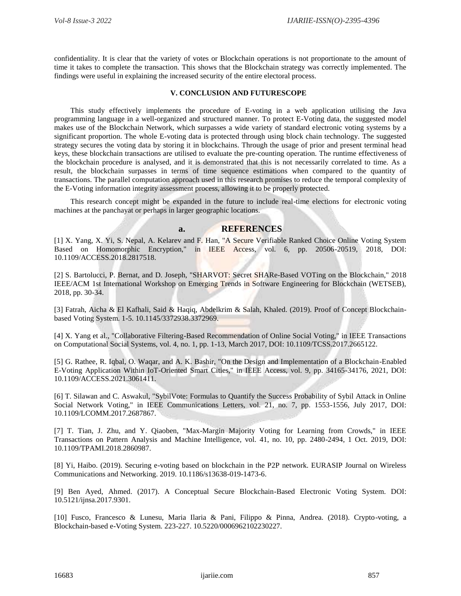confidentiality. It is clear that the variety of votes or Blockchain operations is not proportionate to the amount of time it takes to complete the transaction. This shows that the Blockchain strategy was correctly implemented. The findings were useful in explaining the increased security of the entire electoral process.

# **V. CONCLUSION AND FUTURESCOPE**

This study effectively implements the procedure of E-voting in a web application utilising the Java programming language in a well-organized and structured manner. To protect E-Voting data, the suggested model makes use of the Blockchain Network, which surpasses a wide variety of standard electronic voting systems by a significant proportion. The whole E-voting data is protected through using block chain technology. The suggested strategy secures the voting data by storing it in blockchains. Through the usage of prior and present terminal head keys, these blockchain transactions are utilised to evaluate the pre-counting operation. The runtime effectiveness of the blockchain procedure is analysed, and it is demonstrated that this is not necessarily correlated to time. As a result, the blockchain surpasses in terms of time sequence estimations when compared to the quantity of transactions. The parallel computation approach used in this research promises to reduce the temporal complexity of the E-Voting information integrity assessment process, allowing it to be properly protected.

This research concept might be expanded in the future to include real-time elections for electronic voting machines at the panchayat or perhaps in larger geographic locations.

# **a. REFERENCES**

[1] X. Yang, X. Yi, S. Nepal, A. Kelarev and F. Han, "A Secure Verifiable Ranked Choice Online Voting System Based on Homomorphic Encryption," in IEEE Access, vol. 6, pp. 20506-20519, 2018, DOI: 10.1109/ACCESS.2018.2817518.

[2] S. Bartolucci, P. Bernat, and D. Joseph, "SHARVOT: Secret SHARe-Based VOTing on the Blockchain," 2018 IEEE/ACM 1st International Workshop on Emerging Trends in Software Engineering for Blockchain (WETSEB), 2018, pp. 30-34.

[3] Fatrah, Aicha & El Kafhali, Said & Haqiq, Abdelkrim & Salah, Khaled. (2019). Proof of Concept Blockchainbased Voting System. 1-5. 10.1145/3372938.3372969.

[4] X. Yang et al., "Collaborative Filtering-Based Recommendation of Online Social Voting," in IEEE Transactions on Computational Social Systems, vol. 4, no. 1, pp. 1-13, March 2017, DOI: 10.1109/TCSS.2017.2665122.

[5] G. Rathee, R. Iqbal, O. Waqar, and A. K. Bashir, "On the Design and Implementation of a Blockchain-Enabled E-Voting Application Within IoT-Oriented Smart Cities," in IEEE Access, vol. 9, pp. 34165-34176, 2021, DOI: 10.1109/ACCESS.2021.3061411.

[6] T. Silawan and C. Aswakul, "SybilVote: Formulas to Quantify the Success Probability of Sybil Attack in Online Social Network Voting," in IEEE Communications Letters, vol. 21, no. 7, pp. 1553-1556, July 2017, DOI: 10.1109/LCOMM.2017.2687867.

[7] T. Tian, J. Zhu, and Y. Qiaoben, "Max-Margin Majority Voting for Learning from Crowds," in IEEE Transactions on Pattern Analysis and Machine Intelligence, vol. 41, no. 10, pp. 2480-2494, 1 Oct. 2019, DOI: 10.1109/TPAMI.2018.2860987.

[8] Yi, Haibo. (2019). Securing e-voting based on blockchain in the P2P network. EURASIP Journal on Wireless Communications and Networking. 2019. 10.1186/s13638-019-1473-6.

[9] Ben Ayed, Ahmed. (2017). A Conceptual Secure Blockchain-Based Electronic Voting System. DOI: 10.5121/ijnsa.2017.9301.

[10] Fusco, Francesco & Lunesu, Maria Ilaria & Pani, Filippo & Pinna, Andrea. (2018). Crypto-voting, a Blockchain-based e-Voting System. 223-227. 10.5220/0006962102230227.